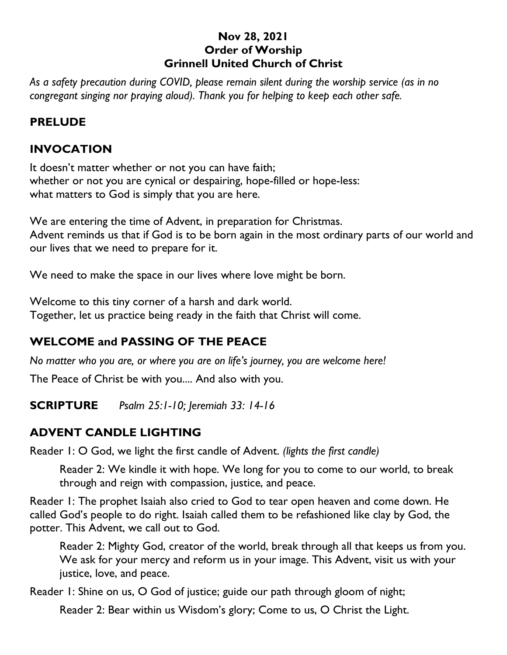#### **Nov 28, 2021 Order of Worship Grinnell United Church of Christ**

*As a safety precaution during COVID, please remain silent during the worship service (as in no congregant singing nor praying aloud). Thank you for helping to keep each other safe.*

## **PRELUDE**

## **INVOCATION**

It doesn't matter whether or not you can have faith; whether or not you are cynical or despairing, hope-filled or hope-less: what matters to God is simply that you are here.

We are entering the time of Advent, in preparation for Christmas. Advent reminds us that if God is to be born again in the most ordinary parts of our world and our lives that we need to prepare for it.

We need to make the space in our lives where love might be born.

Welcome to this tiny corner of a harsh and dark world. Together, let us practice being ready in the faith that Christ will come.

## **WELCOME and PASSING OF THE PEACE**

*No matter who you are, or where you are on life's journey, you are welcome here!*

The Peace of Christ be with you.... And also with you.

**SCRIPTURE** *Psalm 25:1-10; Jeremiah 33: 14-16*

## **ADVENT CANDLE LIGHTING**

Reader 1: O God, we light the first candle of Advent. *(lights the first candle)*

Reader 2: We kindle it with hope. We long for you to come to our world, to break through and reign with compassion, justice, and peace.

Reader 1: The prophet Isaiah also cried to God to tear open heaven and come down. He called God's people to do right. Isaiah called them to be refashioned like clay by God, the potter. This Advent, we call out to God.

Reader 2: Mighty God, creator of the world, break through all that keeps us from you. We ask for your mercy and reform us in your image. This Advent, visit us with your justice, love, and peace.

Reader 1: Shine on us, O God of justice; guide our path through gloom of night;

Reader 2: Bear within us Wisdom's glory; Come to us, O Christ the Light.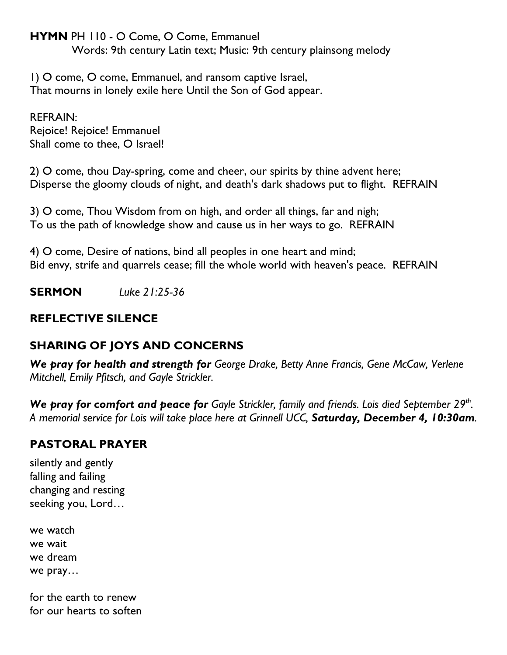**HYMN** PH 110 - O Come, O Come, Emmanuel

Words: 9th century Latin text; Music: 9th century plainsong melody

1) O come, O come, Emmanuel, and ransom captive Israel, That mourns in lonely exile here Until the Son of God appear.

REFRAIN: Rejoice! Rejoice! Emmanuel Shall come to thee, O Israel!

2) O come, thou Day-spring, come and cheer, our spirits by thine advent here; Disperse the gloomy clouds of night, and death's dark shadows put to flight. REFRAIN

3) O come, Thou Wisdom from on high, and order all things, far and nigh; To us the path of knowledge show and cause us in her ways to go. REFRAIN

4) O come, Desire of nations, bind all peoples in one heart and mind; Bid envy, strife and quarrels cease; fill the whole world with heaven's peace. REFRAIN

**SERMON** *Luke 21:25-36*

## **REFLECTIVE SILENCE**

## **SHARING OF JOYS AND CONCERNS**

*We pray for health and strength for George Drake, Betty Anne Francis, Gene McCaw, Verlene Mitchell, Emily Pfitsch, and Gayle Strickler.*

*We pray for comfort and peace for Gayle Strickler, family and friends. Lois died September 29th . A memorial service for Lois will take place here at Grinnell UCC, Saturday, December 4, 10:30am.*

## **PASTORAL PRAYER**

silently and gently falling and failing changing and resting seeking you, Lord…

we watch we wait we dream we pray…

for the earth to renew for our hearts to soften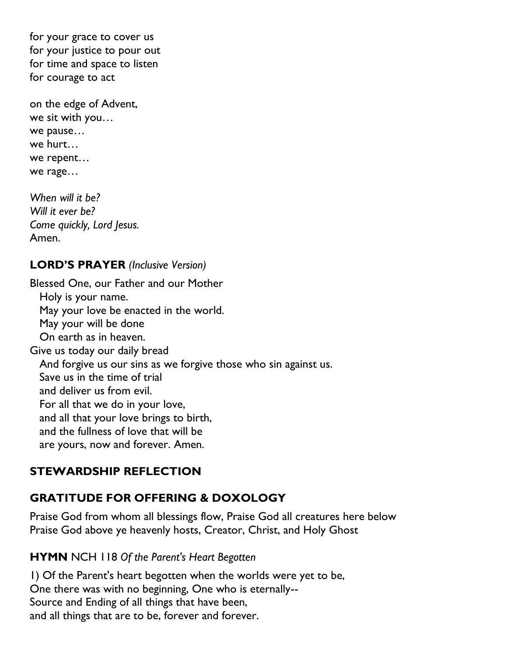for your grace to cover us for your justice to pour out for time and space to listen for courage to act

on the edge of Advent, we sit with you… we pause… we hurt… we repent… we rage…

*When will it be? Will it ever be? Come quickly, Lord Jesus.* Amen.

## **LORD'S PRAYER** *(Inclusive Version)*

Blessed One, our Father and our Mother Holy is your name. May your love be enacted in the world. May your will be done On earth as in heaven. Give us today our daily bread And forgive us our sins as we forgive those who sin against us. Save us in the time of trial and deliver us from evil. For all that we do in your love, and all that your love brings to birth, and the fullness of love that will be are yours, now and forever. Amen.

## **STEWARDSHIP REFLECTION**

# **GRATITUDE FOR OFFERING & DOXOLOGY**

Praise God from whom all blessings flow, Praise God all creatures here below Praise God above ye heavenly hosts, Creator, Christ, and Holy Ghost

## **HYMN** NCH 118 *Of the Parent's Heart Begotten*

1) Of the Parent's heart begotten when the worlds were yet to be, One there was with no beginning, One who is eternally-- Source and Ending of all things that have been, and all things that are to be, forever and forever.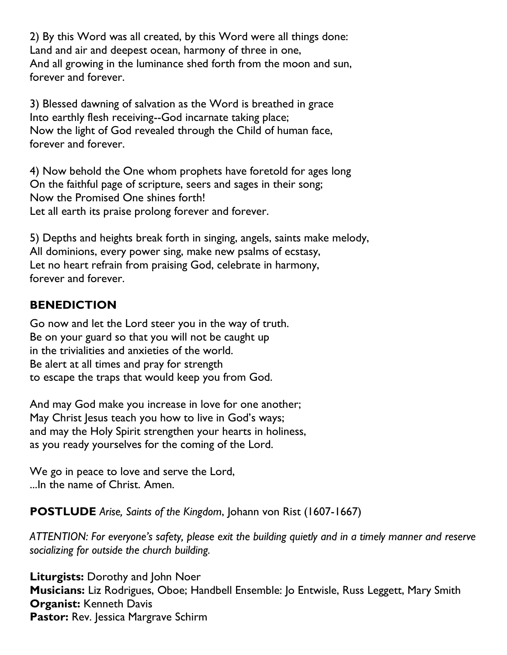2) By this Word was all created, by this Word were all things done: Land and air and deepest ocean, harmony of three in one, And all growing in the luminance shed forth from the moon and sun, forever and forever.

3) Blessed dawning of salvation as the Word is breathed in grace Into earthly flesh receiving--God incarnate taking place; Now the light of God revealed through the Child of human face, forever and forever.

4) Now behold the One whom prophets have foretold for ages long On the faithful page of scripture, seers and sages in their song; Now the Promised One shines forth! Let all earth its praise prolong forever and forever.

5) Depths and heights break forth in singing, angels, saints make melody, All dominions, every power sing, make new psalms of ecstasy, Let no heart refrain from praising God, celebrate in harmony, forever and forever.

## **BENEDICTION**

Go now and let the Lord steer you in the way of truth. Be on your guard so that you will not be caught up in the trivialities and anxieties of the world. Be alert at all times and pray for strength to escape the traps that would keep you from God.

And may God make you increase in love for one another; May Christ Jesus teach you how to live in God's ways; and may the Holy Spirit strengthen your hearts in holiness, as you ready yourselves for the coming of the Lord.

We go in peace to love and serve the Lord, ...In the name of Christ. Amen.

**POSTLUDE** *Arise, Saints of the Kingdom*, Johann von Rist (1607-1667)

*ATTENTION: For everyone's safety, please exit the building quietly and in a timely manner and reserve socializing for outside the church building.*

**Liturgists:** Dorothy and John Noer **Musicians:** Liz Rodrigues, Oboe; Handbell Ensemble: Jo Entwisle, Russ Leggett, Mary Smith **Organist:** Kenneth Davis **Pastor:** Rev. Jessica Margrave Schirm